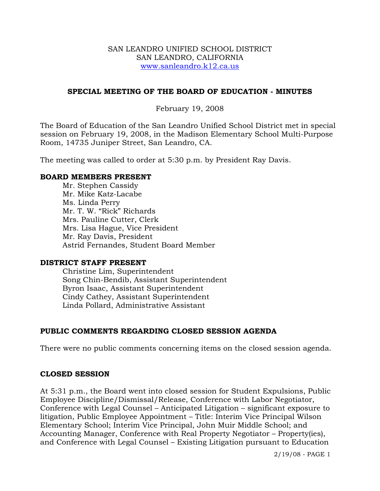### SAN LEANDRO UNIFIED SCHOOL DISTRICT SAN LEANDRO, CALIFORNIA www.sanleandro.k12.ca.us

## **SPECIAL MEETING OF THE BOARD OF EDUCATION - MINUTES**

### February 19, 2008

The Board of Education of the San Leandro Unified School District met in special session on February 19, 2008, in the Madison Elementary School Multi-Purpose Room, 14735 Juniper Street, San Leandro, CA.

The meeting was called to order at 5:30 p.m. by President Ray Davis.

### **BOARD MEMBERS PRESENT**

Mr. Stephen Cassidy Mr. Mike Katz-Lacabe Ms. Linda Perry Mr. T. W. "Rick" Richards Mrs. Pauline Cutter, Clerk Mrs. Lisa Hague, Vice President Mr. Ray Davis, President Astrid Fernandes, Student Board Member

### **DISTRICT STAFF PRESENT**

Christine Lim, Superintendent Song Chin-Bendib, Assistant Superintendent Byron Isaac, Assistant Superintendent Cindy Cathey, Assistant Superintendent Linda Pollard, Administrative Assistant

## **PUBLIC COMMENTS REGARDING CLOSED SESSION AGENDA**

There were no public comments concerning items on the closed session agenda.

### **CLOSED SESSION**

At 5:31 p.m., the Board went into closed session for Student Expulsions, Public Employee Discipline/Dismissal/Release, Conference with Labor Negotiator, Conference with Legal Counsel – Anticipated Litigation – significant exposure to litigation, Public Employee Appointment – Title: Interim Vice Principal Wilson Elementary School; Interim Vice Principal, John Muir Middle School; and Accounting Manager, Conference with Real Property Negotiator – Property(ies), and Conference with Legal Counsel – Existing Litigation pursuant to Education

2/19/08 - PAGE 1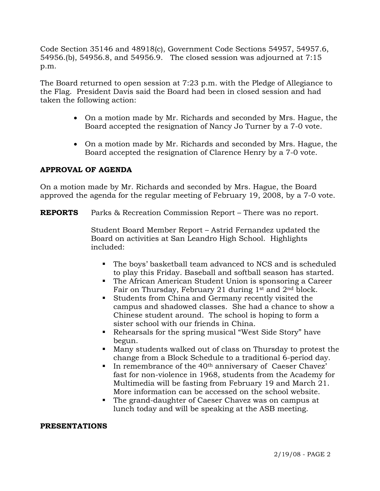Code Section 35146 and 48918(c), Government Code Sections 54957, 54957.6, 54956.(b), 54956.8, and 54956.9. The closed session was adjourned at 7:15 p.m.

The Board returned to open session at 7:23 p.m. with the Pledge of Allegiance to the Flag. President Davis said the Board had been in closed session and had taken the following action:

- On a motion made by Mr. Richards and seconded by Mrs. Hague, the Board accepted the resignation of Nancy Jo Turner by a 7-0 vote.
- On a motion made by Mr. Richards and seconded by Mrs. Hague, the Board accepted the resignation of Clarence Henry by a 7-0 vote.

## **APPROVAL OF AGENDA**

On a motion made by Mr. Richards and seconded by Mrs. Hague, the Board approved the agenda for the regular meeting of February 19, 2008, by a 7-0 vote.

**REPORTS** Parks & Recreation Commission Report – There was no report.

 Student Board Member Report – Astrid Fernandez updated the Board on activities at San Leandro High School. Highlights included:

- The boys' basketball team advanced to NCS and is scheduled to play this Friday. Baseball and softball season has started.
- The African American Student Union is sponsoring a Career Fair on Thursday, February 21 during 1st and 2nd block.
- Students from China and Germany recently visited the campus and shadowed classes. She had a chance to show a Chinese student around. The school is hoping to form a sister school with our friends in China.
- Rehearsals for the spring musical "West Side Story" have begun.
- Many students walked out of class on Thursday to protest the change from a Block Schedule to a traditional 6-period day.
- In remembrance of the 40<sup>th</sup> anniversary of Caeser Chavez' fast for non-violence in 1968, students from the Academy for Multimedia will be fasting from February 19 and March 21. More information can be accessed on the school website.
- The grand-daughter of Caeser Chavez was on campus at lunch today and will be speaking at the ASB meeting.

### **PRESENTATIONS**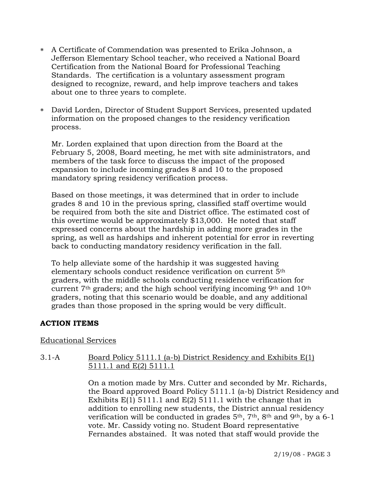- ∗ A Certificate of Commendation was presented to Erika Johnson, a Jefferson Elementary School teacher, who received a National Board Certification from the National Board for Professional Teaching Standards. The certification is a voluntary assessment program designed to recognize, reward, and help improve teachers and takes about one to three years to complete.
- ∗ David Lorden, Director of Student Support Services, presented updated information on the proposed changes to the residency verification process.

Mr. Lorden explained that upon direction from the Board at the February 5, 2008, Board meeting, he met with site administrators, and members of the task force to discuss the impact of the proposed expansion to include incoming grades 8 and 10 to the proposed mandatory spring residency verification process.

Based on those meetings, it was determined that in order to include grades 8 and 10 in the previous spring, classified staff overtime would be required from both the site and District office. The estimated cost of this overtime would be approximately \$13,000. He noted that staff expressed concerns about the hardship in adding more grades in the spring, as well as hardships and inherent potential for error in reverting back to conducting mandatory residency verification in the fall.

 To help alleviate some of the hardship it was suggested having elementary schools conduct residence verification on current 5th graders, with the middle schools conducting residence verification for current 7th graders; and the high school verifying incoming 9th and 10th graders, noting that this scenario would be doable, and any additional grades than those proposed in the spring would be very difficult.

## **ACTION ITEMS**

### Educational Services

## 3.1-A Board Policy 5111.1 (a-b) District Residency and Exhibits E(1) 5111.1 and E(2) 5111.1

On a motion made by Mrs. Cutter and seconded by Mr. Richards, the Board approved Board Policy 5111.1 (a-b) District Residency and Exhibits E(1) 5111.1 and E(2) 5111.1 with the change that in addition to enrolling new students, the District annual residency verification will be conducted in grades  $5<sup>th</sup>$ ,  $7<sup>th</sup>$ ,  $8<sup>th</sup>$  and  $9<sup>th</sup>$ , by a 6-1 vote. Mr. Cassidy voting no. Student Board representative Fernandes abstained. It was noted that staff would provide the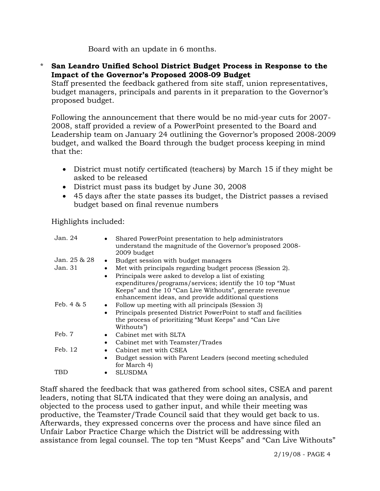Board with an update in 6 months.

\* **San Leandro Unified School District Budget Process in Response to the Impact of the Governor's Proposed 2008-09 Budget** 

 Staff presented the feedback gathered from site staff, union representatives, budget managers, principals and parents in it preparation to the Governor's proposed budget.

 Following the announcement that there would be no mid-year cuts for 2007- 2008, staff provided a review of a PowerPoint presented to the Board and Leadership team on January 24 outlining the Governor's proposed 2008-2009 budget, and walked the Board through the budget process keeping in mind that the:

- District must notify certificated (teachers) by March 15 if they might be asked to be released
- District must pass its budget by June 30, 2008
- 45 days after the state passes its budget, the District passes a revised budget based on final revenue numbers

Highlights included:

| Jan. 24       | Shared PowerPoint presentation to help administrators<br>understand the magnitude of the Governor's proposed 2008-<br>2009 budget |
|---------------|-----------------------------------------------------------------------------------------------------------------------------------|
| Jan. 25 & 28  | Budget session with budget managers<br>$\bullet$                                                                                  |
| Jan. 31       | Met with principals regarding budget process (Session 2).<br>$\bullet$                                                            |
|               | Principals were asked to develop a list of existing<br>$\bullet$                                                                  |
|               | expenditures/programs/services; identify the 10 top "Must                                                                         |
|               | Keeps" and the 10 "Can Live Withouts", generate revenue                                                                           |
|               | enhancement ideas, and provide additional questions                                                                               |
| Feb. $4 \& 5$ | Follow up meeting with all principals (Session 3)                                                                                 |
|               | Principals presented District PowerPoint to staff and facilities                                                                  |
|               | the process of prioritizing "Must Keeps" and "Can Live"                                                                           |
|               | Withouts")                                                                                                                        |
| Feb. 7        | Cabinet met with SLTA                                                                                                             |
|               | Cabinet met with Teamster/Trades<br>$\bullet$                                                                                     |
| Feb. 12       | Cabinet met with CSEA                                                                                                             |
|               | Budget session with Parent Leaders (second meeting scheduled                                                                      |
|               | for March 4)                                                                                                                      |
| TBD           | <b>SLUSDMA</b>                                                                                                                    |

Staff shared the feedback that was gathered from school sites, CSEA and parent leaders, noting that SLTA indicated that they were doing an analysis, and objected to the process used to gather input, and while their meeting was productive, the Teamster/Trade Council said that they would get back to us. Afterwards, they expressed concerns over the process and have since filed an Unfair Labor Practice Charge which the District will be addressing with assistance from legal counsel. The top ten "Must Keeps" and "Can Live Withouts"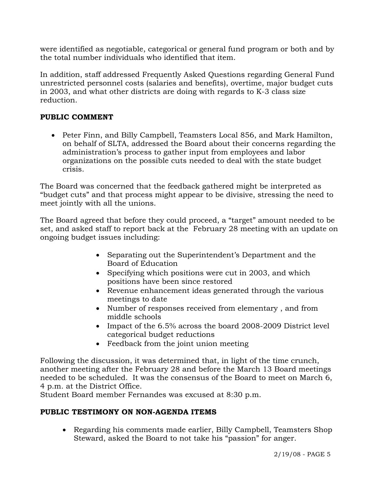were identified as negotiable, categorical or general fund program or both and by the total number individuals who identified that item.

In addition, staff addressed Frequently Asked Questions regarding General Fund unrestricted personnel costs (salaries and benefits), overtime, major budget cuts in 2003, and what other districts are doing with regards to K-3 class size reduction.

# **PUBLIC COMMENT**

• Peter Finn, and Billy Campbell, Teamsters Local 856, and Mark Hamilton, on behalf of SLTA, addressed the Board about their concerns regarding the administration's process to gather input from employees and labor organizations on the possible cuts needed to deal with the state budget crisis.

The Board was concerned that the feedback gathered might be interpreted as "budget cuts" and that process might appear to be divisive, stressing the need to meet jointly with all the unions.

The Board agreed that before they could proceed, a "target" amount needed to be set, and asked staff to report back at the February 28 meeting with an update on ongoing budget issues including:

- Separating out the Superintendent's Department and the Board of Education
- Specifying which positions were cut in 2003, and which positions have been since restored
- Revenue enhancement ideas generated through the various meetings to date
- Number of responses received from elementary , and from middle schools
- Impact of the 6.5% across the board 2008-2009 District level categorical budget reductions
- Feedback from the joint union meeting

Following the discussion, it was determined that, in light of the time crunch, another meeting after the February 28 and before the March 13 Board meetings needed to be scheduled. It was the consensus of the Board to meet on March 6, 4 p.m. at the District Office.

Student Board member Fernandes was excused at 8:30 p.m.

# **PUBLIC TESTIMONY ON NON-AGENDA ITEMS**

• Regarding his comments made earlier, Billy Campbell, Teamsters Shop Steward, asked the Board to not take his "passion" for anger.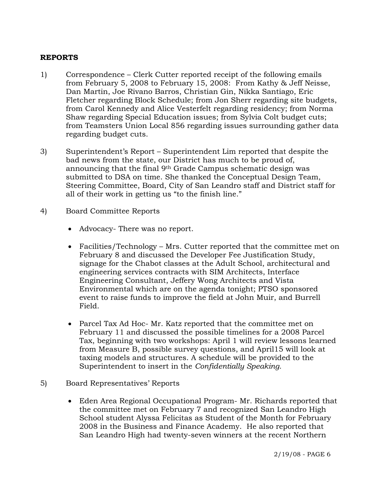## **REPORTS**

- 1) Correspondence Clerk Cutter reported receipt of the following emails from February 5, 2008 to February 15, 2008: From Kathy & Jeff Neisse, Dan Martin, Joe Rivano Barros, Christian Gin, Nikka Santiago, Eric Fletcher regarding Block Schedule; from Jon Sherr regarding site budgets, from Carol Kennedy and Alice Vesterfelt regarding residency; from Norma Shaw regarding Special Education issues; from Sylvia Colt budget cuts; from Teamsters Union Local 856 regarding issues surrounding gather data regarding budget cuts.
- 3) Superintendent's Report Superintendent Lim reported that despite the bad news from the state, our District has much to be proud of, announcing that the final 9th Grade Campus schematic design was submitted to DSA on time. She thanked the Conceptual Design Team, Steering Committee, Board, City of San Leandro staff and District staff for all of their work in getting us "to the finish line."
- 4) Board Committee Reports
	- Advocacy- There was no report.
	- Facilities/Technology Mrs. Cutter reported that the committee met on February 8 and discussed the Developer Fee Justification Study, signage for the Chabot classes at the Adult School, architectural and engineering services contracts with SIM Architects, Interface Engineering Consultant, Jeffery Wong Architects and Vista Environmental which are on the agenda tonight; PTSO sponsored event to raise funds to improve the field at John Muir, and Burrell Field.
	- Parcel Tax Ad Hoc- Mr. Katz reported that the committee met on February 11 and discussed the possible timelines for a 2008 Parcel Tax, beginning with two workshops: April 1 will review lessons learned from Measure B, possible survey questions, and April15 will look at taxing models and structures. A schedule will be provided to the Superintendent to insert in the *Confidentially Speaking.*
- 5) Board Representatives' Reports
	- Eden Area Regional Occupational Program- Mr. Richards reported that the committee met on February 7 and recognized San Leandro High School student Alyssa Felicitas as Student of the Month for February 2008 in the Business and Finance Academy. He also reported that San Leandro High had twenty-seven winners at the recent Northern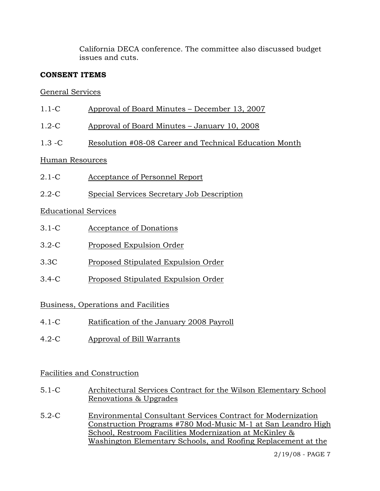California DECA conference. The committee also discussed budget issues and cuts.

# **CONSENT ITEMS**

# General Services

- 1.1-C Approval of Board Minutes December 13, 2007
- 1.2-C Approval of Board Minutes January 10, 2008
- 1.3 -C Resolution #08-08 Career and Technical Education Month

# Human Resources

- 2.1-C Acceptance of Personnel Report
- 2.2-C Special Services Secretary Job Description

# Educational Services

- 3.1-C Acceptance of Donations
- 3.2-C Proposed Expulsion Order
- 3.3C Proposed Stipulated Expulsion Order
- 3.4-C Proposed Stipulated Expulsion Order

# Business, Operations and Facilities

- 4.1-C Ratification of the January 2008 Payroll
- 4.2-C Approval of Bill Warrants

# Facilities and Construction

- 5.1-C Architectural Services Contract for the Wilson Elementary School Renovations & Upgrades
- 5.2-C Environmental Consultant Services Contract for Modernization Construction Programs #780 Mod-Music M-1 at San Leandro High School, Restroom Facilities Modernization at McKinley & Washington Elementary Schools, and Roofing Replacement at the

2/19/08 - PAGE 7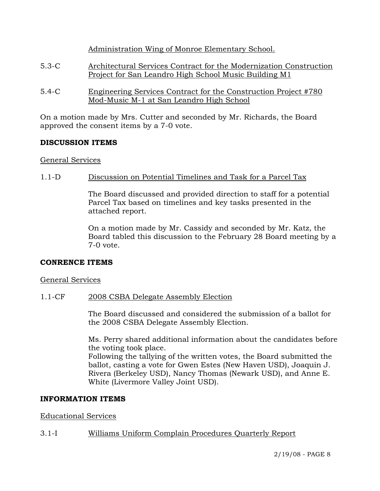Administration Wing of Monroe Elementary School.

- 5.3-C Architectural Services Contract for the Modernization Construction Project for San Leandro High School Music Building M1
- 5.4-C Engineering Services Contract for the Construction Project #780 Mod-Music M-1 at San Leandro High School

On a motion made by Mrs. Cutter and seconded by Mr. Richards, the Board approved the consent items by a 7-0 vote.

## **DISCUSSION ITEMS**

## General Services

## 1.1-D Discussion on Potential Timelines and Task for a Parcel Tax

The Board discussed and provided direction to staff for a potential Parcel Tax based on timelines and key tasks presented in the attached report.

On a motion made by Mr. Cassidy and seconded by Mr. Katz, the Board tabled this discussion to the February 28 Board meeting by a 7-0 vote.

## **CONRENCE ITEMS**

## General Services

## 1.1-CF 2008 CSBA Delegate Assembly Election

The Board discussed and considered the submission of a ballot for the 2008 CSBA Delegate Assembly Election.

Ms. Perry shared additional information about the candidates before the voting took place.

Following the tallying of the written votes, the Board submitted the ballot, casting a vote for Gwen Estes (New Haven USD), Joaquin J. Rivera (Berkeley USD), Nancy Thomas (Newark USD), and Anne E. White (Livermore Valley Joint USD).

## **INFORMATION ITEMS**

## Educational Services

## 3.1-I Williams Uniform Complain Procedures Quarterly Report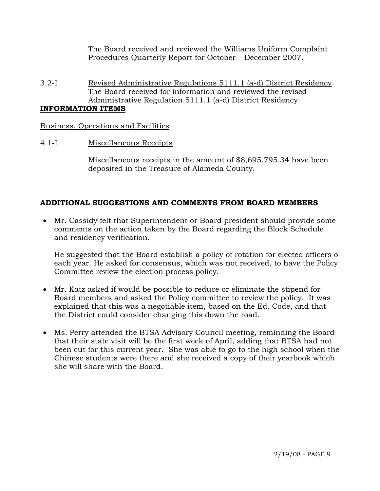The Board received and reviewed the Williams Uniform Complaint Procedures Quarterly Report for October – December 2007.

3.2-I Revised Administrative Regulations 5111.1 (a-d) District Residency The Board received for information and reviewed the revised Administrative Regulation 5111.1 (a-d) District Residency.

## **INFORMATION ITEMS**

Business, Operations and Facilities

## 4.1-I Miscellaneous Receipts

Miscellaneous receipts in the amount of \$8,695,795.34 have been deposited in the Treasure of Alameda County.

# **ADDITIONAL SUGGESTIONS AND COMMENTS FROM BOARD MEMBERS**

• Mr. Cassidy felt that Superintendent or Board president should provide some comments on the action taken by the Board regarding the Block Schedule and residency verification.

He suggested that the Board establish a policy of rotation for elected officers o each year. He asked for consensus, which was not received, to have the Policy Committee review the election process policy.

- Mr. Katz asked if would be possible to reduce or eliminate the stipend for Board members and asked the Policy committee to review the policy. It was explained that this was a negotiable item, based on the Ed. Code, and that the District could consider changing this down the road.
- Ms. Perry attended the BTSA Advisory Council meeting, reminding the Board that their state visit will be the first week of April, adding that BTSA had not been cut for this current year. She was able to go to the high school when the Chinese students were there and she received a copy of their yearbook which she will share with the Board.